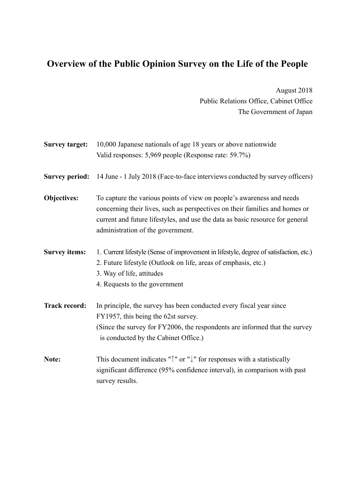# **Overview of the Public Opinion Survey on the Life of the People**

August 2018 Public Relations Office, Cabinet Office The Government of Japan

| <b>Survey target:</b> | 10,000 Japanese nationals of age 18 years or above nationwide                                                                                                                                                                                                              |
|-----------------------|----------------------------------------------------------------------------------------------------------------------------------------------------------------------------------------------------------------------------------------------------------------------------|
|                       | Valid responses: 5,969 people (Response rate: 59.7%)                                                                                                                                                                                                                       |
| <b>Survey period:</b> | 14 June - 1 July 2018 (Face-to-face interviews conducted by survey officers)                                                                                                                                                                                               |
| <b>Objectives:</b>    | To capture the various points of view on people's awareness and needs<br>concerning their lives, such as perspectives on their families and homes or<br>current and future lifestyles, and use the data as basic resource for general<br>administration of the government. |
| <b>Survey items:</b>  | 1. Current lifestyle (Sense of improvement in lifestyle, degree of satisfaction, etc.)<br>2. Future lifestyle (Outlook on life, areas of emphasis, etc.)<br>3. Way of life, attitudes<br>4. Requests to the government                                                     |
| <b>Track record:</b>  | In principle, the survey has been conducted every fiscal year since<br>FY1957, this being the 62st survey.<br>(Since the survey for FY2006, the respondents are informed that the survey<br>is conducted by the Cabinet Office.)                                           |
| Note:                 | This document indicates " $\uparrow$ " or " $\downarrow$ " for responses with a statistically<br>significant difference (95% confidence interval), in comparison with past<br>survey results.                                                                              |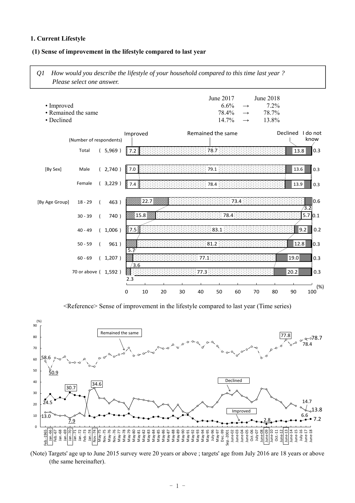### **1. Current Lifestyle**

### **(1) Sense of improvement in the lifestyle compared to last year**

*Q1 How would you describe the lifestyle of your household compared to this time last year ? Please select one answer.* 

|                     |                         |                                           |                               |      |      |                                    |                                                                                   |                                                               |                                           | I do not<br>know |
|---------------------|-------------------------|-------------------------------------------|-------------------------------|------|------|------------------------------------|-----------------------------------------------------------------------------------|---------------------------------------------------------------|-------------------------------------------|------------------|
| (5,969)             | 3.2                     |                                           |                               |      |      |                                    |                                                                                   |                                                               | 13.8                                      | 0.3              |
| (2,740)             | 87.O                    |                                           |                               |      |      |                                    |                                                                                   |                                                               | 13.6                                      | 0.3              |
| (3,229)             | 7.4%                    |                                           |                               |      |      |                                    |                                                                                   |                                                               | 13.9                                      | 0.3              |
| 463)                |                         |                                           |                               |      |      |                                    |                                                                                   |                                                               |                                           | 10.6<br>3.2      |
| 740)                |                         |                                           |                               |      |      |                                    |                                                                                   |                                                               |                                           | 5.7 0.1          |
| (1,006)             | ूँ 7.5 <u>हैं</u>       |                                           |                               |      | 83.1 |                                    |                                                                                   |                                                               |                                           | 9.2<br>0.2       |
| 961)                |                         |                                           |                               |      |      |                                    |                                                                                   |                                                               | 12.8                                      | 0.3              |
| (1,207)             |                         |                                           |                               | 77.1 |      |                                    |                                                                                   |                                                               | 19.0                                      | 0.3              |
| 70 or above (1,592) | ▒                       |                                           |                               | 77.3 |      |                                    |                                                                                   |                                                               | 20.2                                      | 0.3              |
|                     |                         |                                           |                               |      |      |                                    |                                                                                   |                                                               |                                           | $(\%)$<br>100    |
|                     | (Number of respondents) | Improved<br>5.7<br>/3.6<br>2.3<br>0<br>10 | ∛22.7<br>$\%$ 15.8 $\%$<br>20 | 30   | 40   | 78.7<br>79.1<br>78.4<br>81.2<br>50 | June 2017<br>6.6%<br>78.4%<br>14.7%<br>Remained the same<br>: 73.4<br>78.4:<br>60 | $\longrightarrow$<br>$\longrightarrow$<br>$\rightarrow$<br>70 | June 2018<br>7.2%<br>78.7%<br>13.8%<br>80 | Declined<br>90   |

<Reference> Sense of improvement in the lifestyle compared to last year (Time series)



(Note) Targets' age up to June 2015 survey were 20 years or above ; targets' age from July 2016 are 18 years or above (the same hereinafter).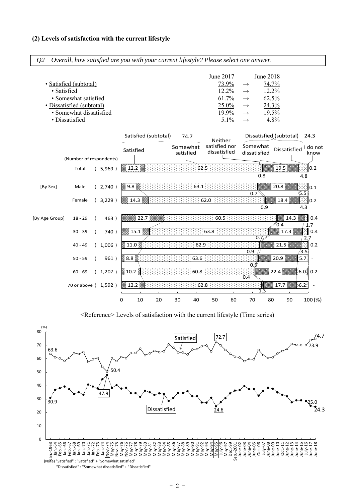### **(2) Levels of satisfaction with the current lifestyle**

| · Satisfied    | • Satisfied (subtotal)<br>• Somewhat satisfied<br>• Dissatisfied (subtotal)<br>· Somewhat dissatisfied<br>• Dissatisfied |                |         |           |            |                      |    |                       |      | June 2017<br>73.9%<br>12.2%<br>61.7%<br>25.0%<br>19.9%<br>5.1% | $\rightarrow$<br>$\longrightarrow$<br>$\rightarrow$<br>$\rightarrow$<br>$\longrightarrow$<br>$\rightarrow$ | June 2018                | 74.7%<br>12.2%<br>62.5%<br>24.3%<br>19.5%<br>4.8% |                 |                  |
|----------------|--------------------------------------------------------------------------------------------------------------------------|----------------|---------|-----------|------------|----------------------|----|-----------------------|------|----------------------------------------------------------------|------------------------------------------------------------------------------------------------------------|--------------------------|---------------------------------------------------|-----------------|------------------|
|                |                                                                                                                          |                |         |           |            | Satisfied (subtotal) |    | 74.7                  |      | Neither                                                        |                                                                                                            |                          | Dissatisfied (subtotal)                           |                 | 24.3             |
|                |                                                                                                                          |                |         | Satisfied |            |                      |    | Somewhat<br>satisfied |      | satisfied nor<br>dissatisfied                                  |                                                                                                            | Somewhat<br>dissatisfied | <b>Dissatisfied</b>                               |                 | I do not<br>know |
|                | (Number of respondents)<br>Total                                                                                         |                | (5,969) | ▒ 12.2 ▒  |            |                      |    |                       | 62.5 |                                                                |                                                                                                            |                          | 19.5                                              |                 | 0.2              |
|                |                                                                                                                          |                |         |           |            |                      |    |                       |      |                                                                |                                                                                                            | 0.8                      |                                                   | 4.8             |                  |
| [By Sex]       | Male                                                                                                                     |                | (2,740) | ▒ 9.8 ▒   |            |                      |    | 63.1                  |      |                                                                |                                                                                                            |                          | 20.8                                              |                 | 0.1              |
|                | Female                                                                                                                   |                | (3,229) |           | 888 14.3   |                      |    |                       | 62.0 |                                                                |                                                                                                            | 0.7<br>0.9               | 18.4                                              | 5.5<br>×<br>4.3 | 0.2              |
| [By Age Group] | $18 - 29$                                                                                                                | $\left($       | 463)    |           | ▒▒ 22.7 ▒▒ |                      |    |                       |      | 60.5                                                           |                                                                                                            |                          |                                                   | 14.3            | 0.4              |
|                | $30 - 39$                                                                                                                | $\overline{ }$ | 740)    |           | 15.1       |                      |    |                       | 63.8 |                                                                |                                                                                                            |                          | 0.4<br>17.3                                       |                 | 1.7<br>0.4       |
|                | $40 - 49$                                                                                                                |                | (1,006) | ▒ 11.0 ▒  |            |                      |    | 62.9                  |      |                                                                | 0.9                                                                                                        | 0.7                      | 21.5                                              | ⁄3.5            | 2.7<br>0.2       |
|                | $50 - 59$                                                                                                                |                | 961)    | ⊗ 8.8 ⊚   |            |                      |    | 63.6                  |      |                                                                |                                                                                                            |                          | 20.9                                              | 5.7             |                  |
|                | $60 - 69$                                                                                                                |                | (1,207) | ≋ 10.2 ≷  |            |                      |    | 60.8                  |      |                                                                | 0.4                                                                                                        | 0.9                      | 22.4                                              |                 | 6.0 0.2          |
|                | 70 or above (1,592)                                                                                                      |                |         | $12.2\%$  |            |                      |    |                       | 62.8 |                                                                |                                                                                                            | 1.3                      | 17.7                                              | 6.2             |                  |
|                |                                                                                                                          |                |         | 0         | 10         | 20                   | 30 | 40                    | 50   | 60                                                             | 70                                                                                                         |                          | 80                                                | 90              | 100 (%)          |

*Q2 Overall, how satisfied are you with your current lifestyle? Please select one answer.* 

<Reference> Levels of satisfaction with the current lifestyle (Time series)

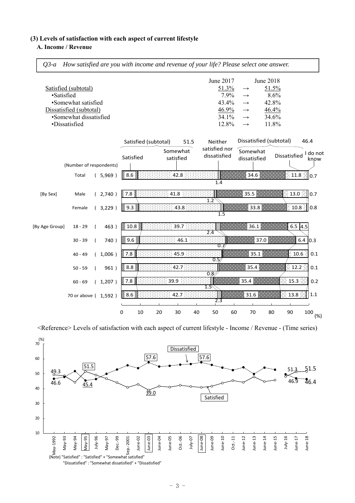### **(3) Levels of satisfaction with each aspect of current lifestyle**

### **A. Income / Revenue**

 $\Gamma$ 

|                |                                                                                                                   |                                  |                                            |                           |                                                    |    |                                               |      | Q3-a How satisfied are you with income and revenue of your life? Please select one answer. |    |                                                                                                                |                                                                |                                            |                                                          |
|----------------|-------------------------------------------------------------------------------------------------------------------|----------------------------------|--------------------------------------------|---------------------------|----------------------------------------------------|----|-----------------------------------------------|------|--------------------------------------------------------------------------------------------|----|----------------------------------------------------------------------------------------------------------------|----------------------------------------------------------------|--------------------------------------------|----------------------------------------------------------|
| ·Satisfied     | Satisfied (subtotal)<br>•Somewhat satisfied<br>Dissatisfied (subtotal)<br>•Somewhat dissatisfied<br>·Dissatisfied |                                  |                                            |                           |                                                    |    |                                               |      | June 2017<br>51.3%<br>7.9%<br>43.4%<br>46.9%<br>34.1%<br>12.8%                             |    | $\longrightarrow$<br>$\rightarrow$<br>$\longrightarrow$<br>$\longrightarrow$<br>$\rightarrow$<br>$\rightarrow$ | June 2018<br>51.5%<br>8.6%<br>42.8%<br>46.4%<br>34.6%<br>11.8% |                                            |                                                          |
|                | (Number of respondents)<br>Total                                                                                  |                                  | (5,969)                                    |                           | Satisfied (subtotal)<br>Satisfied<br>⊗ 8.6 ⊗       |    | Somewhat<br>satisfied<br>42.8                 | 51.5 | Neither<br>satisfied nor<br>dissatisfied<br>1.4                                            |    | Dissatisfied (subtotal)<br>Somewhat<br>dissatisfied<br>34.6                                                    |                                                                | Dissatisfied                               | 46.4<br>I do not<br>know<br>$\otimes$ 11.8 $\otimes$ 0.7 |
| [By Sex]       | Male<br>Female                                                                                                    |                                  | (2,740)<br>(3,229)                         | 87.8                      | ▒ 9.3 ▒ :                                          |    | 41.8<br>43.8                                  |      | 1.2<br>1.5                                                                                 |    | 35.5<br>33.8                                                                                                   |                                                                |                                            | ें 13.0 ं∥0.7<br>E 10.8 ି∥0.8                            |
| [By Age Group] | $18 - 29$<br>$30 - 39$<br>$40 - 49$<br>$50 - 59$<br>$60 - 69$<br>70 or above ( 1,592 )                            | $\left($<br>$\left($<br>$\left($ | 463)<br>740)<br>(1,006)<br>961)<br>(1,207) | ूँ 7.8 ∦<br>$\%$ 8.8 $\%$ | ▒ 10.8 ▒<br>▒ 9.6 ▒<br>7.8 <sup>3</sup><br>§ 8.6 § |    | 39.7<br>46.1<br>45.9<br>42.7:<br>39.9<br>42.7 |      | 2.4<br>0.<br>0.5<br>0.8<br>1.5<br>2.3                                                      |    | 36.1<br>37.0<br>35.1<br>35.4<br>35.4<br>31.6                                                                   |                                                                | $6.5$ 4.5<br>12.2<br>$15.3\degree$<br>13.8 | 6.4 0.3<br>10.6<br>0.1<br>0.1<br>0.2<br>1.1              |
|                |                                                                                                                   |                                  |                                            | 0                         | 10                                                 | 20 | 30                                            | 40   | 50                                                                                         | 60 | 70                                                                                                             | 80                                                             | 90                                         | 100<br>(%)                                               |

┑

<Reference> Levels of satisfaction with each aspect of current lifestyle - Income / Revenue - (Time series)

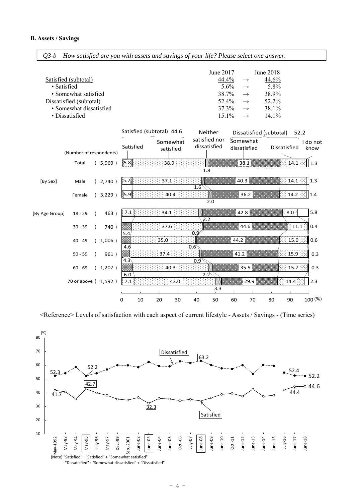*Q3-b How satisfied are you with assets and savings of your life? Please select one answer.* 

|                         | June $2017$ |               | June 2018 |
|-------------------------|-------------|---------------|-----------|
| Satisfied (subtotal)    | 44.4%       |               | 44.6%     |
| • Satisfied             | $5.6\%$     | $\rightarrow$ | 5.8%      |
| • Somewhat satisfied    | 38.7%       | $\rightarrow$ | 38.9%     |
| Dissatisfied (subtotal) | 52.4%       |               | 52.2%     |
| • Somewhat dissatisfied | 37.3%       |               | 38.1%     |
| • Dissatisfied          | $15.1\%$    |               | $14.1\%$  |



<Reference> Levels of satisfaction with each aspect of current lifestyle - Assets / Savings - (Time series)

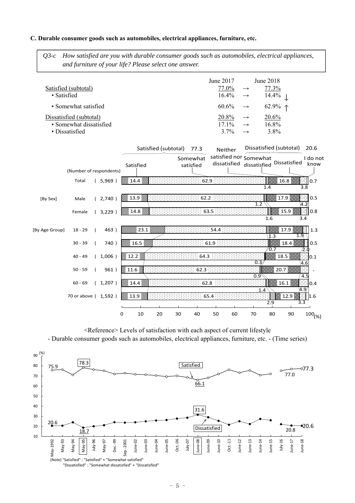### **C. Durable consumer goods such as automobiles, electrical appliances, furniture, etc.**

*Q3-c How satisfied are you with durable consumer goods such as automobiles, electrical appliances, and furniture of your life? Please select one answer.* 

|                         | June 2017            |               | June 2018        |
|-------------------------|----------------------|---------------|------------------|
| Satisfied (subtotal)    | 77.0%                | $\rightarrow$ | 77.3%            |
| • Satisfied             | $16.4\% \rightarrow$ |               | $14.4\%$         |
| • Somewhat satisfied    | $60.6\% \rightarrow$ |               | 62.9% $\uparrow$ |
| Dissatisfied (subtotal) | 20.8%                |               | 20.6%            |
| • Somewhat dissatisfied | $171\%$              |               | $16.8\%$         |

• Dissatisfied  $3.7\% \rightarrow 3.8\%$ 





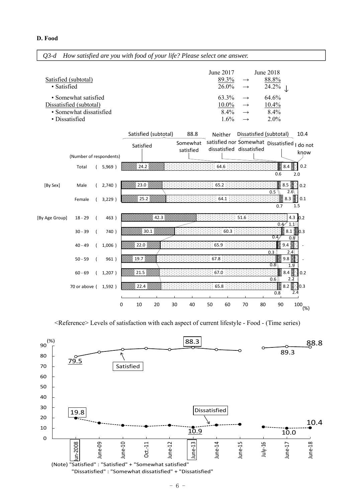| · Satisfied    | Satisfied (subtotal)                               |            |           |         |           |                      |                       |      |         | 89.3%<br>26.0% | $\rightarrow$                                                    |    | 88.8%<br>24.2% |                          |                  |
|----------------|----------------------------------------------------|------------|-----------|---------|-----------|----------------------|-----------------------|------|---------|----------------|------------------------------------------------------------------|----|----------------|--------------------------|------------------|
|                |                                                    |            |           |         |           |                      |                       |      |         |                | $\rightarrow$                                                    |    |                |                          |                  |
|                | • Somewhat satisfied                               |            |           |         |           |                      |                       |      |         | 63.3%          | $\longrightarrow$                                                |    | 64.6%          |                          |                  |
|                | Dissatisfied (subtotal)<br>· Somewhat dissatisfied |            |           |         |           |                      |                       |      |         | 10.0%<br>8.4%  | $\rightarrow$                                                    |    | 10.4%<br>8.4%  |                          |                  |
| · Dissatisfied |                                                    |            |           |         |           |                      |                       |      |         | 1.6%           | $\rightarrow$<br>$\rightarrow$                                   |    | 2.0%           |                          |                  |
|                |                                                    |            |           |         |           |                      |                       |      |         |                |                                                                  |    |                |                          |                  |
|                |                                                    |            |           |         |           | Satisfied (subtotal) |                       | 88.8 | Neither |                | Dissatisfied (subtotal)                                          |    |                |                          | 10.4             |
|                |                                                    |            |           |         | Satisfied |                      | Somewhat<br>satisfied |      |         |                | satisfied nor Somewhat Dissatisfied<br>dissatisfied dissatisfied |    |                |                          | I do not<br>know |
|                | (Number of respondents)                            |            |           |         |           |                      |                       |      |         |                |                                                                  |    |                |                          |                  |
|                | Total                                              |            | 5,969)    |         | 24.2      |                      |                       |      | 64.6    |                |                                                                  |    | 8.4            |                          | 0.2              |
|                |                                                    |            |           |         |           |                      |                       |      |         |                |                                                                  |    | 0.6            | 2.0                      |                  |
| [By Sex]       | Male                                               |            | 2,740)    |         | 23.0      |                      |                       |      | 65.2    |                |                                                                  |    | 8.5<br>0.5     | ě<br>2.6                 | 0.2              |
|                | Female                                             | $\sqrt{2}$ | $3,229$ ) |         | 325.2     |                      |                       |      | 64.1    |                |                                                                  |    |                | $8.3$ $\blacksquare$     | 0.1              |
|                |                                                    |            |           |         |           |                      |                       |      |         |                |                                                                  |    | 0.7            | 1.5                      |                  |
| [By Age Group] | $18 - 29$                                          |            | 463)      |         |           | 42.3                 |                       |      |         |                | 51.6                                                             |    | 0.4            | 4.3 $\text{10.2}$<br>1.1 |                  |
|                | $30 - 39$                                          |            | 740)      |         | 30.1      |                      |                       |      |         | 60.3           |                                                                  |    |                | $8.1$ 0.3                |                  |
|                |                                                    |            |           |         | $22.0\%$  |                      |                       |      | 65.9    |                |                                                                  |    | 0.4<br>9.4     | 0.8                      |                  |
|                | $40 - 49$                                          | $\sqrt{2}$ | 1,006)    |         |           |                      |                       |      |         |                |                                                                  |    | 0.3            | 2.4                      |                  |
|                | $50 - 59$                                          |            | 961)      |         | 19.7      |                      |                       |      | 67.8    |                |                                                                  |    | 9.8<br>0.8     | 1.9                      |                  |
|                | $60 - 69$                                          |            | 1,207)    |         | 21.5      |                      |                       |      | 67.0    |                |                                                                  |    |                | 8.4<br>2.2               | 0.2              |
|                | 70 or above (                                      |            | 1,592)    | ∛ 22.4  |           |                      |                       |      | 65.8    |                |                                                                  |    | 0.6            | $8.2$ $\blacksquare$     | 0.3              |
|                |                                                    |            |           |         |           |                      |                       |      |         |                |                                                                  |    | 0.8            | 2.4                      |                  |
|                |                                                    |            |           | 0<br>10 |           | 20                   | 30                    | 40   | 50      | 60             | 70                                                               | 80 | 90             |                          | $100^{(96)}$     |

June 2017 June 2018

*Q3-d How satisfied are you with food of your life? Please select one answer.* 

<Reference> Levels of satisfaction with each aspect of current lifestyle - Food - (Time series)

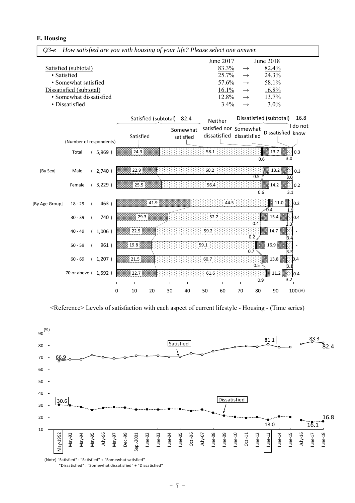**E. Housing** 



<Reference> Levels of satisfaction with each aspect of current lifestyle - Housing - (Time series)



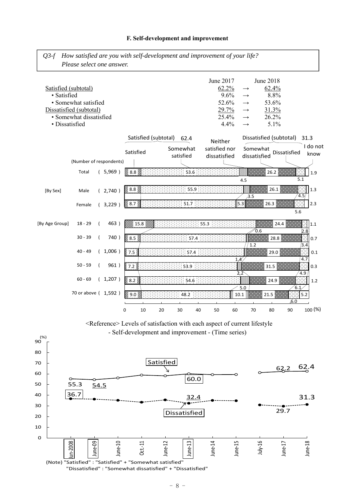

### **F. Self-development and improvement**

"Dissatisfied" : "Somewhat dissatisfied" + "Dissatisfied"

Oct.‐11

36.7 32.4

(Note) "Satisfied" : "Satisfied" + "Somewhat satisfied"

June‐10

55.3 54.5

June‐09

un-2008

June‐13

Dissatisfied

June‐14

June‐15

July‐16

June‐12

29.7

June‐17

31.3

June‐18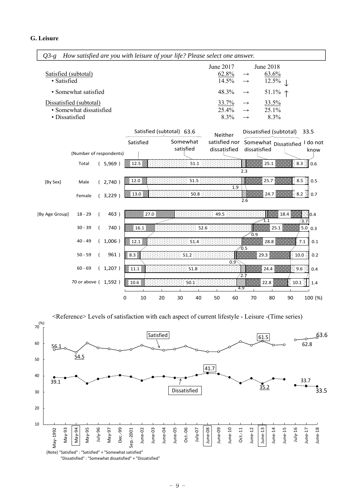| $Q3-g$                                    |                         |         |                |      |                           |                       |          | How satisfied are you with leisure of your life? Please select one answer. |     |                                                 |                             |                                            |                  |
|-------------------------------------------|-------------------------|---------|----------------|------|---------------------------|-----------------------|----------|----------------------------------------------------------------------------|-----|-------------------------------------------------|-----------------------------|--------------------------------------------|------------------|
| Satisfied (subtotal)<br>· Satisfied       |                         |         |                |      |                           |                       |          | June 2017<br>62.8%<br>14.5%                                                |     | $\rightarrow$<br>$\rightarrow$                  | June 2018<br>63.6%<br>12.5% |                                            |                  |
|                                           | • Somewhat satisfied    |         |                |      |                           |                       |          | 48.3%                                                                      |     | $\rightarrow$                                   | 51.1% $\uparrow$            |                                            |                  |
| Dissatisfied (subtotal)<br>· Dissatisfied | • Somewhat dissatisfied |         |                |      |                           |                       |          | 33.7%<br>25.4%<br>8.3%                                                     |     | $\rightarrow$<br>$\rightarrow$<br>$\rightarrow$ | 33.5%<br>25.1%<br>8.3%      |                                            |                  |
|                                           |                         |         |                |      | Satisfied (subtotal) 63.6 |                       |          | Neither                                                                    |     |                                                 | Dissatisfied (subtotal)     |                                            | 33.5             |
|                                           | (Number of respondents) |         | Satisfied      |      |                           | Somewhat<br>satisfied |          | satisfied nor<br>dissatisfied                                              |     | dissatisfied                                    | Somewhat Dissatisfied       |                                            | I do not<br>know |
|                                           | Total                   | (5,969) |                |      |                           |                       | $51.1\,$ |                                                                            |     |                                                 | 25.1                        |                                            | $8.3$ 0.6        |
|                                           |                         |         |                |      |                           |                       |          |                                                                            |     | 2.3                                             |                             |                                            |                  |
| [By Sex]                                  | Male                    | (2,740) | ▒ 12.0 ▒       |      |                           |                       | 51.5     |                                                                            | 1.9 |                                                 | 25.7                        | $\stackrel{}{\scriptscriptstyle \sim} 8.5$ | 0.5              |
|                                           | Female                  | (3,229) | ▒ 13.0 ▒       |      |                           |                       | 50.8     |                                                                            |     | 2.6                                             | 24.7                        |                                            | $8.2$ : 0.7      |
| [By Age Group]                            | $18 - 29$               | 463)    |                | 27.0 |                           |                       |          | 49.5                                                                       |     |                                                 | 1.1                         | 18.4                                       | ∷∥o.4<br>3.7     |
|                                           | $30 - 39$               | 740)    |                | 16.1 |                           |                       | 52.6     |                                                                            |     |                                                 | 25.1                        |                                            | 5.0 0.3          |
|                                           | $40 - 49$               | 1,006)  | ▒ 12.1 ▒       |      |                           |                       | 51.4     |                                                                            |     | 0.9<br>0.5                                      | 28.8                        |                                            | 7.1<br>0.1       |
|                                           | $50 - 59$               | 961)    | ⊗ 8.3 ⊗        |      |                           | 51.2                  |          |                                                                            |     |                                                 | 29.3                        | $\approx$ 10.0                             | 0.2              |
|                                           | $60 - 69$               | (1,207) | $\%$ 11.1 $\%$ |      |                           |                       | 51.8     |                                                                            | 0.9 | 2.7                                             | 24.4                        |                                            | 9.6<br>0.4       |
|                                           | 70 or above (1,592)     |         | 10.6%          |      |                           |                       | 50.1     |                                                                            | 4.9 |                                                 | 22.8                        | 10.1                                       | 1.4              |
|                                           |                         |         | 0              | 10   | 20                        | 30                    | 40       | 50                                                                         | 60  | 70                                              | 80                          | 90                                         | 100 (%)          |



"Dissatisfied" : "Somewhat dissatisfied" + "Dissatisfied"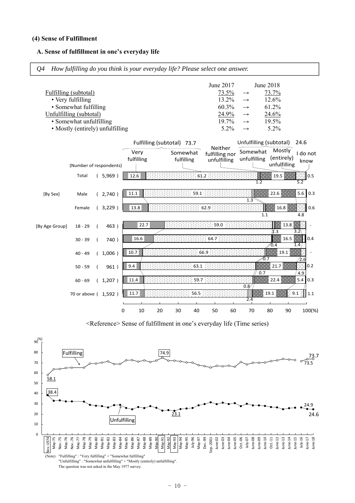#### **(4) Sense of Fulfillment**

#### **A. Sense of fulfillment in one's everyday life**



<Reference> Sense of fulfillment in one's everyday life (Time series)

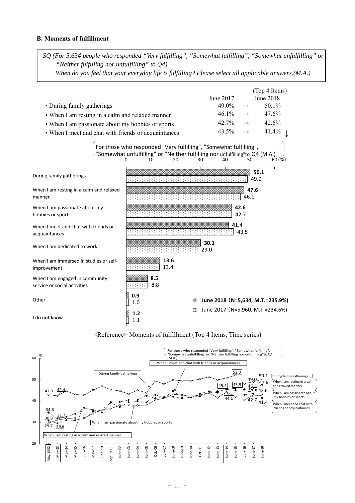### **B. Moments of fulfillment**

*SQ (For 5,634 people who responded "Very fulfilling", "Somewhat fulfilling", "Somewhat unfulfilling" or "Neither fulfilling nor unfulfilling" to Q4)* 

*When do you feel that your everyday life is fulfilling? Please select all applicable answers.(M.A.)* 

|                                                                |            |                                                                                                                                                         |                                  |               | (Top 4 Items)    |
|----------------------------------------------------------------|------------|---------------------------------------------------------------------------------------------------------------------------------------------------------|----------------------------------|---------------|------------------|
|                                                                |            |                                                                                                                                                         | June 2017                        |               | <b>June 2018</b> |
| • During family gatherings                                     |            |                                                                                                                                                         | 49.0%                            |               | $50.1\%$         |
| • When I am resting in a calm and relaxed manner               |            |                                                                                                                                                         | 46.1%                            | $\rightarrow$ | 47.6%            |
| • When I am passionate about my hobbies or sports              |            |                                                                                                                                                         | 42.7%                            |               | 42.6%            |
| • When I meet and chat with friends or acquaintances           |            |                                                                                                                                                         | 43.5%                            |               | 41.4%            |
|                                                                | 10         | For those who responded "Very fulfilling", "Somewhat fulfilling",<br>"Somewhat unfulfilling" or "Neither fulfilling nor unfulfilling"to Q4 (M.A.)<br>20 | 40<br>30                         | 50            | 60(%)            |
| During family gatherings                                       |            |                                                                                                                                                         |                                  |               | 50.1<br>49.0     |
| When I am resting in a calm and relaxed<br>manner              |            |                                                                                                                                                         |                                  | 47.6<br>46.1  |                  |
| When I am passionate about my<br>hobbies or sports             |            |                                                                                                                                                         |                                  | 42.6<br>42.7  |                  |
| When I meet and chat with friends or<br>acquaintances          |            |                                                                                                                                                         |                                  | 41.4<br>43.5  |                  |
| When I am dedicated to work                                    |            |                                                                                                                                                         | 30.1<br>29.0                     |               |                  |
| When I am immersed in studies or self-<br>improvement          |            | 13.6<br>13.4                                                                                                                                            |                                  |               |                  |
| When I am engaged in community<br>service or social activities | 8.5<br>8.8 |                                                                                                                                                         |                                  |               |                  |
| Other                                                          | 0.9<br>1.0 | ⊗                                                                                                                                                       | June 2018 (N=5,634, M.T.=235.9%) |               |                  |
| I do not know                                                  | 1.2<br>1.1 | n.                                                                                                                                                      | June 2017 (N=5,960, M.T.=234.6%) |               |                  |

### <Reference> Moments of fulfillment (Top 4 Items, Time series)

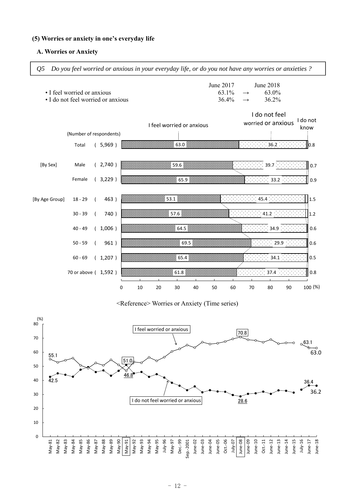### **(5) Worries or anxiety in one's everyday life**

### **A. Worries or Anxiety**

*Q5 Do you feel worried or anxious in your everyday life, or do you not have any worries or anxieties ?* 



<Reference> Worries or Anxiety (Time series)

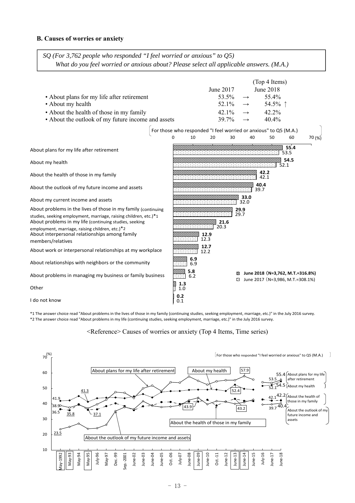### **B. Causes of worries or anxiety**

*SQ (For 3,762 people who responded "I feel worried or anxious" to Q5) What do you feel worried or anxious about? Please select all applicable answers. (M.A.)* 



\*1 The answer choice read "About problems in the lives of those in my family (continuing studies, seeking employment, marriage, etc.)" in the July 2016 survey. \*2 The answer choice read "About problems in my life (continuing studies, seeking employment, marriage, etc.)" in the July 2016 survey.

<Reference> Causes of worries or anxiety (Top 4 Items, Time series)

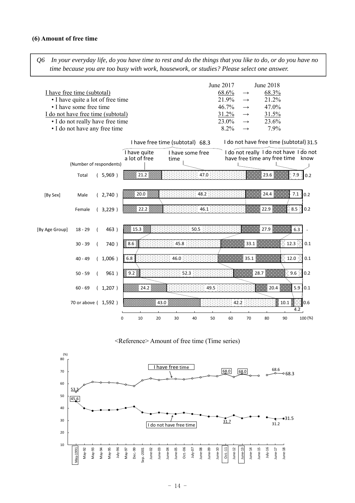#### **(6) Amount of free time**

*Q6 In your everyday life, do you have time to rest and do the things that you like to do, or do you have no time because you are too busy with work, housework, or studies? Please select one answer.* 





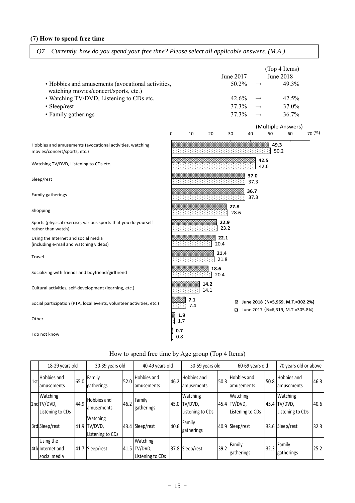### **(7) How to spend free time**

*Q7 Currently, how do you spend your free time? Please select all applicable answers. (M.A.)* 

| • Hobbies and amusements (avocational activities,<br>watching movies/concert/sports, etc.)<br>• Watching TV/DVD, Listening to CDs etc.<br>· Sleep/rest<br>• Family gatherings |            |            |              | June 2017<br>50.2%<br>42.6%<br>37.3%<br>37.3% |              |              | (Top 4 Items)<br><b>June 2018</b><br>49.3%<br>42.5%<br>37.0%<br>36.7%  |        |
|-------------------------------------------------------------------------------------------------------------------------------------------------------------------------------|------------|------------|--------------|-----------------------------------------------|--------------|--------------|------------------------------------------------------------------------|--------|
|                                                                                                                                                                               | 0          | 10         | 20           | 30                                            | 40           | 50           | (Multiple Answers)<br>60                                               | 70 (%) |
| Hobbies and amusements (avocational activities, watching<br>movies/concert/sports, etc.)                                                                                      |            |            |              |                                               |              |              | 49.3<br>50.2                                                           |        |
| Watching TV/DVD, Listening to CDs etc.                                                                                                                                        |            |            |              |                                               |              | 42.5<br>42.6 |                                                                        |        |
| Sleep/rest                                                                                                                                                                    |            |            |              |                                               | 37.0<br>37.3 |              |                                                                        |        |
| Family gatherings                                                                                                                                                             |            |            |              |                                               | 36.7<br>37.3 |              |                                                                        |        |
| Shopping                                                                                                                                                                      |            |            |              | 27.8<br>28.6                                  |              |              |                                                                        |        |
| Sports (physical exercise, various sports that you do yourself<br>rather than watch)                                                                                          |            |            | 22.9         | 23.2                                          |              |              |                                                                        |        |
| Using the Internet and social media<br>(including e-mail and watching videos)                                                                                                 |            |            | 22.1<br>20.4 |                                               |              |              |                                                                        |        |
| Travel                                                                                                                                                                        |            |            | 21.4<br>21.8 |                                               |              |              |                                                                        |        |
| Socializing with friends and boyfriend/girlfriend                                                                                                                             |            |            | 18.6<br>20.4 |                                               |              |              |                                                                        |        |
| Cultural activities, self-development (learning, etc.)                                                                                                                        |            |            | 14.2<br>14.1 |                                               |              |              |                                                                        |        |
| Social participation (PTA, local events, volunteer activities, etc.)                                                                                                          |            | 7.1<br>7.4 |              | 82                                            |              |              | June 2018 (N=5,969, M.T.=302.2%)<br>□ June 2017 (N=6,319, M.T.=305.8%) |        |
| Other                                                                                                                                                                         | 1.9<br>1.7 |            |              |                                               |              |              |                                                                        |        |
| I do not know                                                                                                                                                                 | 0.7<br>0.8 |            |              |                                               |              |              |                                                                        |        |

|     | 18-29 years old                               |      | 30-39 years old                              |      | 40-49 years old                         |      | 50-59 years old                              |      | 60-69 years old                              |      | 70 years old or above                        |      |
|-----|-----------------------------------------------|------|----------------------------------------------|------|-----------------------------------------|------|----------------------------------------------|------|----------------------------------------------|------|----------------------------------------------|------|
| 1st | <b>Hobbies and</b><br>lamusements             | 65.0 | Family<br>gatherings                         | 52.0 | Hobbies and<br>amusements               | 46.2 | Hobbies and<br>amusements                    | 50.3 | Hobbies and<br>amusements                    | 50.8 | Hobbies and<br>amusements                    | 46.3 |
|     | Watching<br>2nd TV/DVD,<br>Listening to CDs   | 44.9 | Hobbies and<br>lamusements                   | 46.2 | Family<br>gatherings                    |      | Watching<br>45.0 TV/DVD,<br>Listening to CDs |      | Watching<br>45.4 TV/DVD,<br>Listening to CDs |      | Watching<br>45.4 TV/DVD,<br>Listening to CDs | 40.6 |
|     | 3rd Sleep/rest                                |      | Watching<br>41.9 TV/DVD,<br>Listening to CDs | 43.4 | Sleep/rest                              | 40.6 | Family<br>gatherings                         |      | 40.9 Sleep/rest                              |      | 33.6 Sleep/rest                              | 32.3 |
|     | Using the<br>4th Internet and<br>social media | 41.7 | Sleep/rest                                   | 41.5 | Watching<br>TV/DVD,<br>Listening to CDs |      | 37.8 Sleep/rest                              | 39.2 | Family<br><b>Igatherings</b>                 | 32.3 | Family<br>gatherings                         | 25.2 |

# How to spend free time by Age group (Top 4 Items)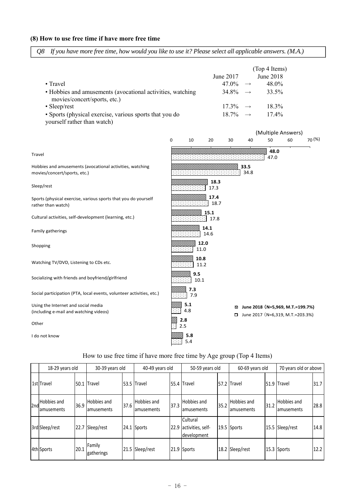### **(8) How to use free time if have more free time**

|  |  |  |  | Q8 If you have more free time, how would you like to use it? Please select all applicable answers. (M.A.) |  |
|--|--|--|--|-----------------------------------------------------------------------------------------------------------|--|
|--|--|--|--|-----------------------------------------------------------------------------------------------------------|--|

|                                                                                            |                      | (Top 4 Items)               |
|--------------------------------------------------------------------------------------------|----------------------|-----------------------------|
|                                                                                            | June 2017            | June 2018                   |
| $\bullet$ Travel                                                                           | $47.0\% \rightarrow$ | 48.0%                       |
| • Hobbies and amusements (avocational activities, watching<br>movies/concert/sports, etc.) |                      | $34.8\% \rightarrow 33.5\%$ |
| $\cdot$ Sleep/rest                                                                         | $17.3\% \rightarrow$ | $18.3\%$                    |
| • Sports (physical exercise, various sports that you do<br>yourself rather than watch)     | $18.7\% \rightarrow$ | $17.4\%$                    |

|                                                                                          |   |              |              |        |              | (Multiple Answers)                                                   |    |            |  |  |
|------------------------------------------------------------------------------------------|---|--------------|--------------|--------|--------------|----------------------------------------------------------------------|----|------------|--|--|
|                                                                                          | 0 | 10           | 20           | 30     | 40           | 50                                                                   | 60 | $70^{(%)}$ |  |  |
| Travel                                                                                   |   |              |              |        |              | 48.0<br>47.0                                                         |    |            |  |  |
| Hobbies and amusements (avocational activities, watching<br>movies/concert/sports, etc.) |   |              |              |        | 33.5<br>34.8 |                                                                      |    |            |  |  |
| Sleep/rest                                                                               |   |              | 18.3<br>17.3 |        |              |                                                                      |    |            |  |  |
| Sports (physical exercise, various sports that you do yourself<br>rather than watch)     |   |              | 17.4<br>18.7 |        |              |                                                                      |    |            |  |  |
| Cultural activities, self-development (learning, etc.)                                   |   |              | 15.1<br>17.8 |        |              |                                                                      |    |            |  |  |
| Family gatherings                                                                        |   |              | 14.1<br>14.6 |        |              |                                                                      |    |            |  |  |
| Shopping                                                                                 |   | 12.0<br>11.0 |              |        |              |                                                                      |    |            |  |  |
| Watching TV/DVD, Listening to CDs etc.                                                   |   | 10.8<br>11.2 |              |        |              |                                                                      |    |            |  |  |
| Socializing with friends and boyfriend/girlfriend                                        |   | 9.5<br>10.1  |              |        |              |                                                                      |    |            |  |  |
| Social participation (PTA, local events, volunteer activities, etc.)                     |   | 7.3<br>7.9   |              |        |              |                                                                      |    |            |  |  |
| Using the Internet and social media<br>(including e-mail and watching videos)            |   | 5.1<br>4.8   |              | ⊠<br>o |              | June 2018 (N=5,969, M.T.=199.7%)<br>June 2017 (N=6,319, M.T.=203.3%) |    |            |  |  |
| Other                                                                                    |   | 2.8<br>2.5   |              |        |              |                                                                      |    |            |  |  |
| I do not know                                                                            |   | 5.8<br>5.4   |              |        |              |                                                                      |    |            |  |  |

|  |  |  |  |  | How to use free time if have more free time by Age group (Top 4 Items) |
|--|--|--|--|--|------------------------------------------------------------------------|
|--|--|--|--|--|------------------------------------------------------------------------|

|     | 18-29 years old                  |      | 30-39 years old           |      | 40-49 years old           |      | 50-59 years old                              |      | 60-69 years old                  |      | 70 years old or above     |      |
|-----|----------------------------------|------|---------------------------|------|---------------------------|------|----------------------------------------------|------|----------------------------------|------|---------------------------|------|
|     | 1st Travel                       | 50.1 | <b>Travel</b>             |      | 53.5 Travel               |      | 55.4 Travel                                  |      | 57.2 Travel                      |      | 51.9 Travel               | 31.7 |
| 2nd | <b>Hobbies and</b><br>amusements | 36.9 | Hobbies and<br>amusements | 37.6 | Hobbies and<br>amusements | 37.3 | Hobbies and<br>amusements                    | 35.2 | <b>Hobbies and</b><br>amusements | 31.2 | Hobbies and<br>amusements | 28.8 |
|     | 3rd Sleep/rest                   | 22.7 | Sleep/rest                |      | 24.1 Sports               | 22.9 | Cultural<br>activities, self-<br>development |      | 19.5 Sports                      |      | 15.5 Sleep/rest           | 14.8 |
|     | 4th Sports                       | 20.1 | Family<br>gatherings      |      | 21.5 Sleep/rest           |      | 21.9 Sports                                  |      | 18.2 Sleep/rest                  |      | 15.3 Sports               | 12.2 |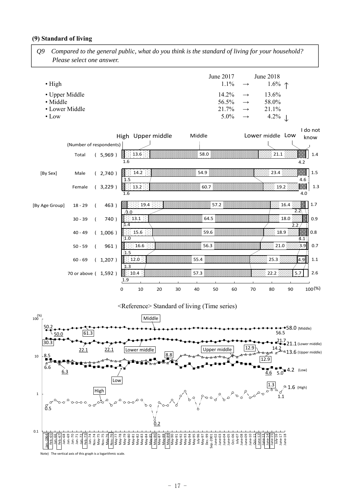### **(9) Standard of living**

*Q9 Compared to the general public, what do you think is the standard of living for your household? Please select one answer.* 

| $\bullet$ High | June $2017$ | June 2018<br>$1.1\% \rightarrow 1.6\% \uparrow$ |
|----------------|-------------|-------------------------------------------------|
| • Upper Middle |             | $14.2\% \rightarrow 13.6\%$                     |
| • Middle       |             | $56.5\% \rightarrow 58.0\%$                     |
| • Lower Middle |             | $21.7\% \rightarrow 21.1\%$                     |
| $\bullet$ Low  |             | $5.0\% \rightarrow 4.2\%$                       |



### <Reference> Standard of living (Time series)

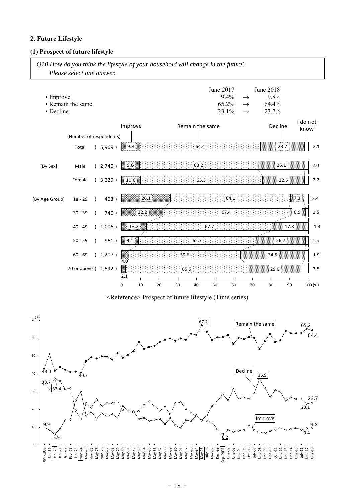### **2. Future Lifestyle**

### **(1) Prospect of future lifestyle**

*Q10 How do you think the lifestyle of your household will change in the future? Please select one answer.* 

| • Improve<br>• Decline | • Remain the same       |                |         |          |          |    |      |      | June 2017<br>$9.4\%$<br>65.2%<br>23.1% |      | $\longrightarrow$<br>$\longrightarrow$<br>$\longrightarrow$ | June 2018<br>9.8%<br>64.4%<br>23.7% |      |                  |         |
|------------------------|-------------------------|----------------|---------|----------|----------|----|------|------|----------------------------------------|------|-------------------------------------------------------------|-------------------------------------|------|------------------|---------|
|                        |                         |                |         | Improve  |          |    |      |      | Remain the same                        |      |                                                             | Decline                             |      | I do not<br>know |         |
|                        | (Number of respondents) |                |         |          |          |    |      |      |                                        |      |                                                             |                                     |      |                  |         |
|                        | Total                   |                | (5,969) | \$9.8    |          |    |      | 64.4 |                                        |      |                                                             |                                     | 23.7 |                  | 2.1     |
| [By Sex]               | Male                    |                | (2,740) | ▒ 9.6 ▒  |          |    |      | 63.2 |                                        |      |                                                             |                                     | 25.1 |                  | 2.0     |
|                        | Female                  |                | (3,229) | 2 10.0   |          |    |      | 65.3 |                                        |      |                                                             |                                     | 22.5 |                  | 2.2     |
| [By Age Group]         | $18 - 29$               | $\left($       | 463)    |          | $26.1\%$ |    |      |      |                                        | 64.1 |                                                             |                                     |      | 17.3             | $2.4$   |
|                        | $30 - 39$               | $\left($       | 740)    |          | ੈ 22.2 ⊗ |    |      |      | 67.4                                   |      |                                                             |                                     |      | 8.9              | $1.5\,$ |
|                        | $40 - 49$               |                | (1,006) | ▒ 13.2 ▒ |          |    |      |      | 67.7:                                  |      |                                                             |                                     | 17.8 |                  | 1.3     |
|                        | $50 - 59$               | $\overline{ }$ | 961)    | ▒ 9.1 ▒  |          |    |      | 62.7 |                                        |      |                                                             |                                     | 26.7 |                  | 1.5     |
|                        | $60 - 69$               |                | (1,207) | 4.0      |          |    | 59.6 |      |                                        |      |                                                             | 34.5                                |      |                  | 1.9     |
|                        | 70 or above (1,592)     |                |         | 2.1      |          |    | 65.5 |      |                                        |      |                                                             | 29.0                                |      |                  | 3.5     |
|                        |                         |                |         | 0        | 10       | 20 | 30   | 40   | 50                                     | 60   | 70                                                          | 80                                  | 90   |                  | 100 (%) |

<Reference> Prospect of future lifestyle (Time series)

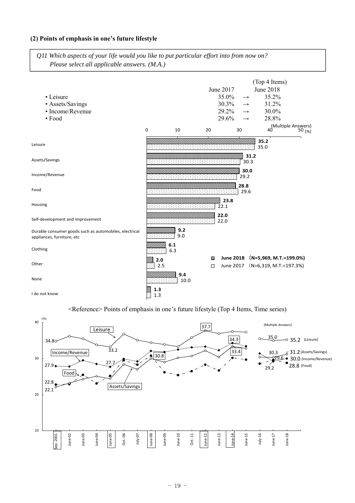### **(2) Points of emphasis in one's future lifestyle**

*Q11 Which aspects of your life would you like to put particular effort into from now on? Please select all applicable answers. (M.A.)*



<Reference> Points of emphasis in one's future lifestyle (Top 4 Items, Time series)

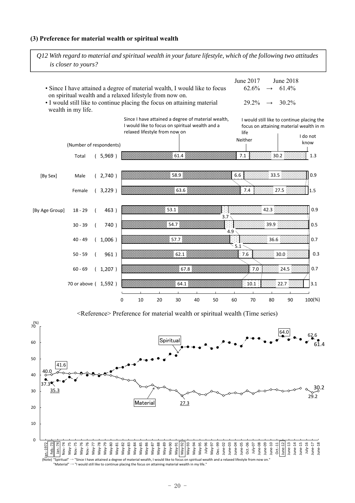#### **(3) Preference for material wealth or spiritual wealth**

(Number of respondents) Total ( 5,969 ) [By Sex] Male ( 2,740 ) Female ( 3,229 ) [By Age Group] 18 ‐ 29 ( 463 ) 30 ‐ 39 ( 740 ) 40 ‐ 49 ( 1,006 ) 50 ‐ 59 ( 961 ) 60 ‐ 69 ( 1,207 ) 70 or above ( 1,592 ) 61.4 7.1 30.2 1.3 0 10 20 30 40 50 60 70 80 90 100(%) 58.9 63.6 6.6 7.4  $33.5<sup>3</sup>$ 27.5 0.9 1.5 53.1 54.7 57.7  $62.1$ 67.8 64.1 3.7 4.9 5.1 7.6 7.0 10.1 42.3 39.9 36.6 30.0 24.5 22.7 0.9 0.5 0.7 0.3 0.7 3.1 Neither Since I have attained a degree of material wealth, I would like to focus on spiritual wealth and a relaxed lifestyle from now on I would still like to continue placing the focus on attaining material wealth in m life I do not know *is closer to yours?* June 2017 June 2018 • Since I have attained a degree of material wealth, I would like to focus on spiritual wealth and a relaxed lifestyle from now on.  $62.6\% \rightarrow 61.4\%$ • I would still like to continue placing the focus on attaining material wealth in my life.  $29.2\% \rightarrow 30.2\%$ 

*Q12 With regard to material and spiritual wealth in your future lifestyle, which of the following two attitudes* 

<Reference> Preference for material wealth or spiritual wealth (Time series)

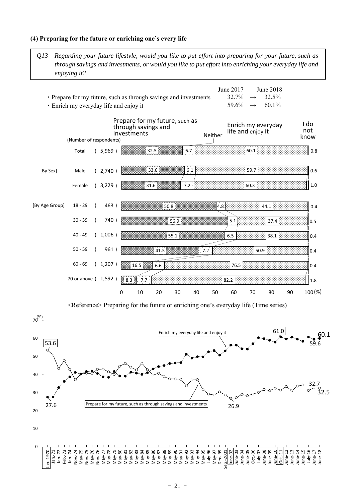### **(4) Preparing for the future or enriching one's every life**

*Q13 Regarding your future lifestyle, would you like to put effort into preparing for your future, such as through savings and investments, or would you like to put effort into enriching your everyday life and enjoying it?*

|                                                                  | June 2017                   | June 2018 |
|------------------------------------------------------------------|-----------------------------|-----------|
| • Prepare for my future, such as through savings and investments | $32.7\% \rightarrow 32.5\%$ |           |
| • Enrich my everyday life and enjoy it                           | $59.6\% \rightarrow 60.1\%$ |           |



<Reference> Preparing for the future or enriching one's everyday life (Time series)

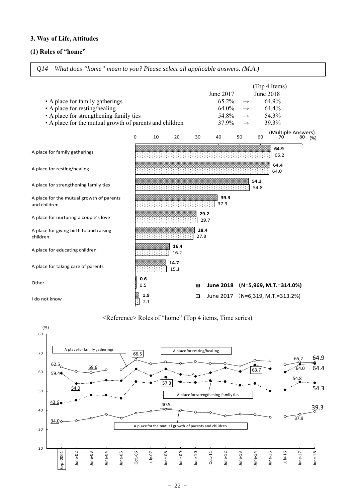### **3. Way of Life, Attitudes**

### **(1) Roles of "home"**



*Q14 What does "home" mean to you? Please select all applicable answers. (M.A.)*



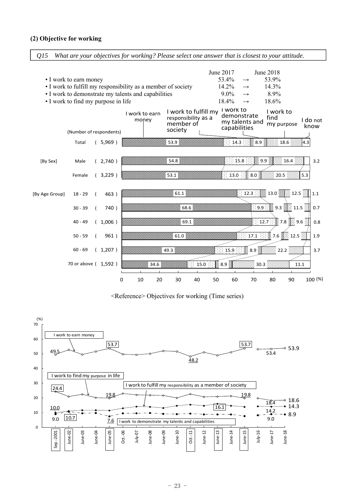### **(2) Objective for working**

*Q15 What are your objectives for working? Please select one answer that is closest to your attitude.*



<Reference> Objectives for working (Time series)

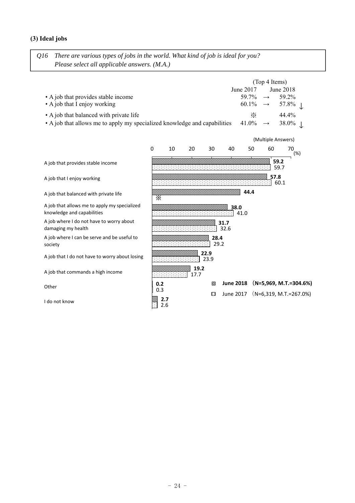### **(3) Ideal jobs**

*Q16 There are various types of jobs in the world. What kind of job is ideal for you? Please select all applicable answers. (M.A.)*

|                                                                           |                      | (Top 4 Items) |                             |  |  |  |
|---------------------------------------------------------------------------|----------------------|---------------|-----------------------------|--|--|--|
|                                                                           | June 2017            |               | June 2018                   |  |  |  |
| • A job that provides stable income                                       |                      |               | $59.7\% \rightarrow 59.2\%$ |  |  |  |
| • A job that I enjoy working                                              |                      |               | $60.1\% \rightarrow 57.8\%$ |  |  |  |
| • A job that balanced with private life                                   | $\times$             |               | $44.4\%$                    |  |  |  |
| • A job that allows me to apply my specialized knowledge and capabilities | $41.0\% \rightarrow$ |               | $38.0\%$                    |  |  |  |

|                                                                            |                   | (Multiple Answers) |              |              |                  |      |              |                          |
|----------------------------------------------------------------------------|-------------------|--------------------|--------------|--------------|------------------|------|--------------|--------------------------|
|                                                                            | 0                 | 10                 | 20           | 30           | 40               | 50   | 60           | 70<br>(%)                |
| A job that provides stable income                                          |                   |                    |              |              |                  |      | 59.2<br>59.7 |                          |
| A job that I enjoy working                                                 |                   |                    |              |              |                  |      | 57.8<br>60.1 |                          |
| A job that balanced with private life                                      | Х                 |                    |              |              |                  | 44.4 |              |                          |
| A job that allows me to apply my specialized<br>knowledge and capabilities |                   |                    |              |              | 38.0<br>41.0     |      |              |                          |
| A job where I do not have to worry about<br>damaging my health             |                   |                    |              |              | 31.7<br>32.6     |      |              |                          |
| A job where I can be serve and be useful to<br>society                     |                   |                    |              | 28.4<br>29.2 |                  |      |              |                          |
| A job that I do not have to worry about losing                             |                   |                    |              | 22.9<br>23.9 |                  |      |              |                          |
| A job that commands a high income                                          |                   |                    | 19.2<br>17.7 |              |                  |      |              |                          |
| Other                                                                      | 0.2               |                    |              | ⊗            | <b>June 2018</b> |      |              | $(N=5,969, M.T.=304.6%)$ |
| I do not know                                                              | 0.3<br>2.7<br>2.6 |                    |              | ⊡            | June 2017        |      |              | $(N=6,319, M.T.=267.0%)$ |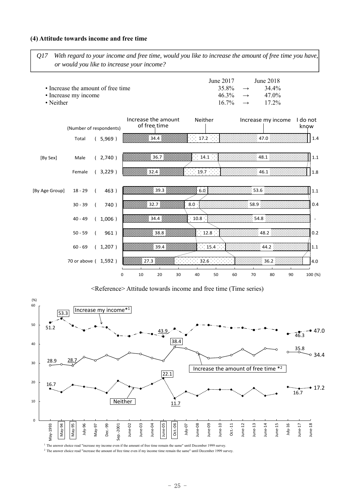### **(4) Attitude towards income and free time**

*Q17 With regard to your income and free time, would you like to increase the amount of free time you have, or would you like to increase your income?*

| • Increase the amount of free time<br>• Increase my income<br>$\bullet$ Neither | June 2017 |  | June 2018<br>$35.8\% \rightarrow 34.4\%$<br>$46.3\% \rightarrow 47.0\%$<br>$16.7\% \rightarrow 17.2\%$ |
|---------------------------------------------------------------------------------|-----------|--|--------------------------------------------------------------------------------------------------------|
|---------------------------------------------------------------------------------|-----------|--|--------------------------------------------------------------------------------------------------------|



<Reference> Attitude towards income and free time (Time series)



<sup>1</sup> The answer choice read "increase my income even if the amount of free time remain the same" until December 1999 survey.

<sup>2</sup> The answer choice read "increase the amount of free time even if my income time remain the same" until December 1999 survey.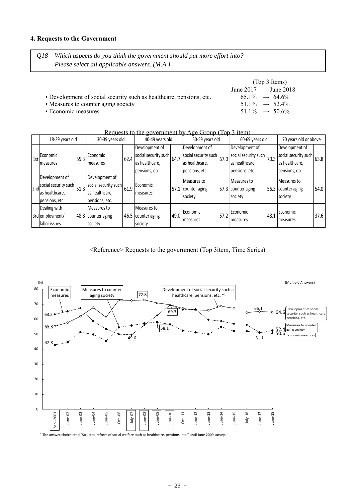### **4. Requests to the Government**

*Q18 Which aspects do you think the government should put more effort into? Please select all applicable answers. (M.A.)*

|                                                                     | (Top 3 Items) |                             |  |  |  |  |
|---------------------------------------------------------------------|---------------|-----------------------------|--|--|--|--|
|                                                                     | June 2017     | June 2018                   |  |  |  |  |
| • Development of social security such as healthcare, pensions, etc. |               | $65.1\% \rightarrow 64.6\%$ |  |  |  |  |
| • Measures to counter aging society                                 |               | $51.1\% \rightarrow 52.4\%$ |  |  |  |  |
| • Economic measures                                                 |               | $51.1\% \rightarrow 50.6\%$ |  |  |  |  |

|     |                      |      |                      |                      | <u>Requests to the government by Age Choup 1100 3 Renni</u> |                      |                   |                      |                  |                      |                       |      |
|-----|----------------------|------|----------------------|----------------------|-------------------------------------------------------------|----------------------|-------------------|----------------------|------------------|----------------------|-----------------------|------|
|     | 18-29 years old      |      | 30-39 years old      |                      |                                                             | 40-49 years old      |                   | 50-59 years old      |                  | 60-69 years old      | 70 years old or above |      |
|     |                      |      |                      |                      | Development of                                              |                      | Development of    |                      | Development of   |                      | Development of        |      |
| 1st | Economic             | 55.3 | Economic             | social security such | 64.7                                                        | social security such | 67.0              | social security such | 70.3             | social security such | 63.8                  |      |
|     | measures             |      | <b>Imeasures</b>     | 62.4                 | as healthcare,                                              |                      | as healthcare,    |                      | as healthcare,   |                      | as healthcare,        |      |
|     |                      |      |                      |                      | pensions, etc.                                              |                      | pensions, etc.    |                      | pensions, etc.   |                      | pensions, etc.        |      |
|     | Development of       |      | Development of       |                      |                                                             |                      | Measures to       |                      | Measures to      |                      | Measures to           |      |
| 2nd | social security such | 51.8 | social security such | 61.9                 | Economic                                                    | 57.1                 | counter aging     | 57.3                 | counter aging    |                      | 56.3 counter aging    | 54.0 |
|     | as healthcare,       |      | las healthcare,      |                      | measures                                                    |                      |                   |                      |                  |                      |                       |      |
|     | pensions, etc.       |      | pensions, etc.       |                      |                                                             |                      | society           |                      | society          |                      | society               |      |
|     | Dealing with         |      | Measures to          |                      | Measures to                                                 |                      |                   |                      |                  |                      |                       |      |
|     | 3rd employment/      |      | 48.8 counter aging   | 46.5                 | counter aging                                               | 49.0                 | <b>IEconomic</b>  | 57.2                 | Economic         | 48.1                 | <b>Economic</b>       | 37.6 |
|     | labor issues         |      | society              |                      | society                                                     |                      | <b>I</b> measures |                      | <b>Imeasures</b> |                      | <b>I</b> measures     |      |

Requests to the government by  $\Lambda$  ge Group (Top 3 item)

<Reference> Requests to the government (Top 3item, Time Series)

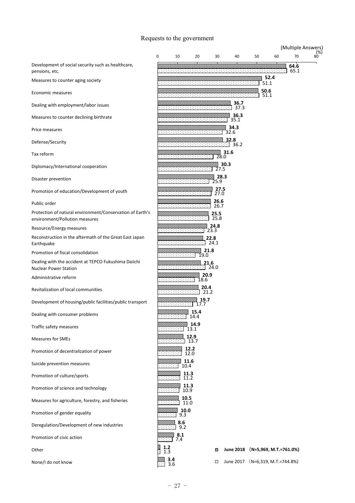### Requests to the government

|                                                                                             |              |                      |                    |              |                                  |    |                        |    | (Multiple Answers) |                |
|---------------------------------------------------------------------------------------------|--------------|----------------------|--------------------|--------------|----------------------------------|----|------------------------|----|--------------------|----------------|
|                                                                                             | 0            | 10                   | 20                 | 30           | 40                               | 50 |                        | 60 | 70                 | $^{(96)}_{80}$ |
| Development of social security such as healthcare,<br>pensions, etc.                        |              |                      |                    |              |                                  |    |                        |    | 64.6<br>65.1       |                |
| Measures to counter aging society                                                           |              |                      |                    |              |                                  |    | 52.4<br>51.1           |    |                    |                |
| Economic measures                                                                           |              |                      |                    |              |                                  |    | 50.6<br>51.1           |    |                    |                |
| Dealing with employment/labor issues                                                        |              |                      |                    |              | 36.7<br>37.3                     |    |                        |    |                    |                |
| Measures to counter declining birthrate                                                     |              |                      |                    |              | 36.3<br>35.1                     |    |                        |    |                    |                |
| Price measures                                                                              |              |                      |                    |              | 34.3<br>32.6                     |    |                        |    |                    |                |
| Defense/Security                                                                            |              |                      | ,,,,,,,,,,,,,,,,,, |              | 32.8<br>36.2                     |    |                        |    |                    |                |
| Tax reform                                                                                  |              |                      |                    | 28.0         | 31.6                             |    |                        |    |                    |                |
| Diplomacy/International cooperation                                                         |              |                      |                    | 27.5         | 30.3                             |    |                        |    |                    |                |
| Disaster prevention                                                                         |              |                      |                    | 28.3<br>25.9 |                                  |    |                        |    |                    |                |
| Promotion of education/Development of youth                                                 |              |                      |                    | 27.5<br>27.0 |                                  |    |                        |    |                    |                |
| Public order                                                                                |              | ,,,,,,,,,,,,,,,,,,,, |                    | 26.6<br>26.7 |                                  |    |                        |    |                    |                |
| Protection of natural environment/Conservation of Earth's<br>environment/Pollution measures |              |                      |                    | 25.5<br>25.8 |                                  |    |                        |    |                    |                |
| Resource/Energy measures                                                                    |              |                      |                    | 24.8<br>23.3 |                                  |    |                        |    |                    |                |
| Reconstruction in the aftermath of the Great East Japan<br>Earthquake                       |              |                      | 22.8               | 24.1         |                                  |    |                        |    |                    |                |
| Promotion of fiscal consolidation                                                           |              |                      | 21.8<br>19.0       |              |                                  |    |                        |    |                    |                |
| Dealing with the accident at TEPCO Fukushima Daiichi<br><b>Nuclear Power Station</b>        |              |                      | 21.6               | 24.0         |                                  |    |                        |    |                    |                |
| Administrative reform                                                                       |              |                      | 20.9<br>18.6       |              |                                  |    |                        |    |                    |                |
| Revitalization of local communities                                                         |              |                      | 20.4<br>21.2       |              |                                  |    |                        |    |                    |                |
| Development of housing/public facilities/public transport                                   |              |                      | 19.7<br>11.1       |              |                                  |    |                        |    |                    |                |
| Dealing with consumer problems                                                              |              | 333<br>2222222       | 15.4<br>14.4       |              |                                  |    |                        |    |                    |                |
| Traffic safety measures                                                                     |              |                      | 14.9<br>13.1       |              |                                  |    |                        |    |                    |                |
| <b>Measures for SMEs</b>                                                                    |              |                      | 12.9<br>13.7       |              |                                  |    |                        |    |                    |                |
| Promotion of decentralization of power                                                      |              |                      | 12.2<br>12.0       |              |                                  |    |                        |    |                    |                |
| Suicide prevention measures                                                                 |              | 10.4                 | 11.6               |              |                                  |    |                        |    |                    |                |
| Promotion of culture/sports                                                                 |              | 11.3<br>11.2         |                    |              |                                  |    |                        |    |                    |                |
| Promotion of science and technology                                                         |              | 11.3<br>10.9         |                    |              |                                  |    |                        |    |                    |                |
| Measures for agriculture, forestry, and fisheries                                           |              | 10.5<br>11.0         |                    |              |                                  |    |                        |    |                    |                |
| Promotion of gender equality                                                                |              | 10.0<br>9.3          |                    |              |                                  |    |                        |    |                    |                |
| Deregulation/Development of new industries                                                  |              | 8.6<br>9.2           |                    |              |                                  |    |                        |    |                    |                |
| Promotion of civic action                                                                   |              | 8.1<br>7.4           |                    |              |                                  |    |                        |    |                    |                |
| Other                                                                                       | $1.2$<br>1.3 |                      |                    | ⊗            | <b>June 2018</b>                 |    | (N=5,969, M.T.=761.0%) |    |                    |                |
| None/I do not know                                                                          |              | $3.4$<br>$3.6$       |                    | ⊡            | June 2017 (N=6,319, M.T.=744.8%) |    |                        |    |                    |                |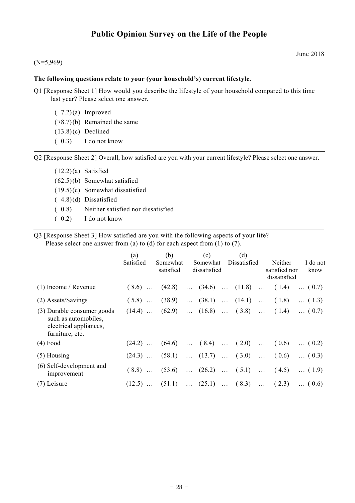## **Public Opinion Survey on the Life of the People**

### (N=5,969)

### **The following questions relate to your (your household's) current lifestyle.**

- Q1 [Response Sheet 1] How would you describe the lifestyle of your household compared to this time last year? Please select one answer.
	- $(7.2)(a)$  Improved ( 78.7) (b) Remained the same  $(13.8)(c)$  Declined ( 0.3) I do not know

Q2 [Response Sheet 2] Overall, how satisfied are you with your current lifestyle? Please select one answer.

- $(12.2)(a)$  Satisfied ( 62.5) (b) Somewhat satisfied ( 19.5) (c) Somewhat dissatisfied ( 4.8) (d) Dissatisfied ( 0.8) Neither satisfied nor dissatisfied ( 0.2) I do not know
- Q3 [Response Sheet 3] How satisfied are you with the following aspects of your life? Please select one answer from (a) to (d) for each aspect from (1) to (7).

|                                                                                                 | (a)       | (b)                   | (c)                                            | (d)          |                                                              |
|-------------------------------------------------------------------------------------------------|-----------|-----------------------|------------------------------------------------|--------------|--------------------------------------------------------------|
|                                                                                                 | Satisfied | Somewhat<br>satisfied | Somewhat<br>dissatisfied                       | Dissatisfied | I do not<br>Neither<br>satisfied nor<br>know<br>dissatisfied |
| $(1)$ Income / Revenue                                                                          | $(8.6)$   | (42.8)                | $\ldots$ (34.6) $\ldots$ (11.8) $\ldots$ (1.4) |              | $\dots(0.7)$                                                 |
| (2) Assets/Savings                                                                              | $(5.8)$   | (38.9)                | $\ldots$ (38.1) $\ldots$ (14.1) $\ldots$ (1.8) |              | $\dots(1.3)$                                                 |
| (3) Durable consumer goods<br>such as automobiles,<br>electrical appliances,<br>furniture, etc. | $(14.4)$  | (62.9)                | $\dots$ (16.8) $\dots$ (3.8) $\dots$ (1.4)     |              | $\dots (0.7)$                                                |
| $(4)$ Food                                                                                      | $(24.2)$  | (64.6)                | $\dots$ (8.4) $\dots$ (2.0)                    |              | $\ldots$ (0.6)<br>$\dots$ (0.2)                              |
| $(5)$ Housing                                                                                   | $(24.3)$  | (58.1)                | $\dots$ (13.7) $\dots$ (3.0)                   |              | $\ldots$ (0.6)<br>$\dots (0.3)$                              |
| (6) Self-development and<br>improvement                                                         | $(8.8)$   | (53.6)                | $\ldots$ (26.2) $\ldots$ (5.1) $\ldots$ (4.5)  |              | $\dots(1.9)$                                                 |
| $(7)$ Leisure                                                                                   |           |                       | $(12.5)$ $(51.1)$ $(25.1)$ $(8.3)$ $(2.3)$     |              | $\dots(0.6)$                                                 |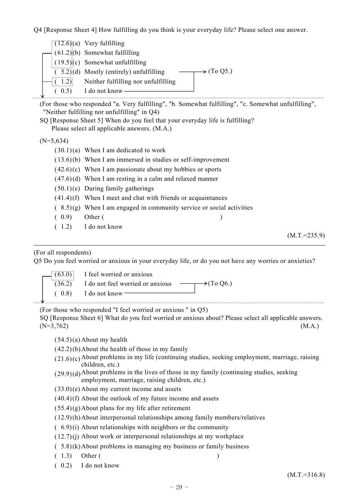Q4 [Response Sheet 4] How fulfilling do you think is your everyday life? Please select one answer.

|      | $\rightarrow$ (To Q5.)                                                                                                                                                                                     |
|------|------------------------------------------------------------------------------------------------------------------------------------------------------------------------------------------------------------|
| 1.2) |                                                                                                                                                                                                            |
| 0.5) |                                                                                                                                                                                                            |
|      | $(12.6)(a)$ Very fulfilling<br>$(61.2)(b)$ Somewhat fulfilling<br>$(19.5)(c)$ Somewhat unfulfilling<br>$(5.2)(d)$ Mostly (entirely) unfulfilling<br>Neither fulfilling nor unfulfilling<br>I do not know - |

(For those who responded "a. Very fulfilling", "b. Somewhat fulfilling", "c. Somewhat unfulfilling", "Neither fulfilling nor unfulfilling" in Q4)

SQ [Response Sheet 5] When do you feel that your everyday life is fulfilling? Please select all applicable answers. (M.A.)

 $(N=5,634)$ 

- $(30.1)(a)$  When I am dedicated to work
- $(13.6)(b)$  When I am immersed in studies or self-improvement
- $(42.6)(c)$  When I am passionate about my hobbies or sports
- $(47.6)(d)$  When I am resting in a calm and relaxed manner
- $(50.1)(e)$  During family gatherings
- $(41.4)$ (f) When I meet and chat with friends or acquaintances
- $(8.5)(g)$  When I am engaged in community service or social activities
- ( 0.9) Other ( )
- ( 1.2) I do not know

 $(M.T.=235.9)$ 

### (For all respondents)

Q5 Do you feel worried or anxious in your everyday life, or do you not have any worries or anxieties?

|  | $\lfloor 63.0 \rfloor$ I feel worried or anxious                 |  |
|--|------------------------------------------------------------------|--|
|  | $(36.2)$ I do not feel worried or anxious $\rightarrow$ (To Q6.) |  |
|  | $(0.8)$ I do not know —                                          |  |

(For those who responded "I feel worried or anxious " in Q5)

SQ [Response Sheet 6] What do you feel worried or anxious about? Please select all applicable answers.  $(N=3,762)$  (M.A.)

 $(54.5)(a)$  About my health

- $(42.2)(b)$  About the health of those in my family
- $(21.6)(c)$  About problems in my life (continuing studies, seeking employment, marriage, raising children, etc.)
- $(29.9)(d)$  About problems in the lives of those in my family (continuing studies, seeking employment, marriage, raising children, etc.)
- $(33.0)$ (e) About my current income and assets
- ( 40.4) (f) About the outlook of my future income and assets
- $(55.4)(g)$  About plans for my life after retirement
- ( 12.9) (h) About interpersonal relationships among family members/relatives
- $(6.9)(i)$  About relationships with neighbors or the community
- $(12.7)(i)$  About work or interpersonal relationships at my workplace
- ( 5.8) (k) About problems in managing my business or family business
- ( 1.3) Other ( )
- ( 0.2) I do not know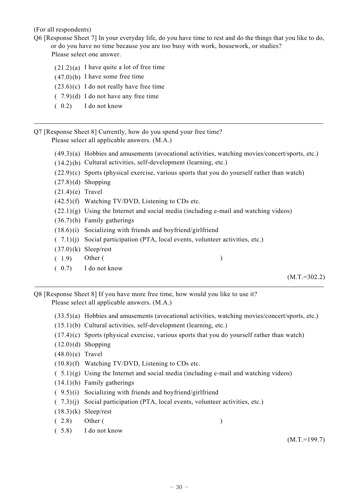(For all respondents)

- Q6 [Response Sheet 7] In your everyday life, do you have time to rest and do the things that you like to do, or do you have no time because you are too busy with work, housework, or studies? Please select one answer.
	-
	- $(21.2)(a)$  I have quite a lot of free time
	- $(47.0)(b)$  I have some free time
	- $(23.6)(c)$  I do not really have free time
	- $(7.9)(d)$  I do not have any free time
	- ( 0.2) I do not know

Q7 [Response Sheet 8] Currently, how do you spend your free time? Please select all applicable answers. (M.A.)

- ( 49.3) (a) Hobbies and amusements (avocational activities, watching movies/concert/sports, etc.)
- ( 14.2) (b) Cultural activities, self-development (learning, etc.)
- $(22.9)(c)$  Sports (physical exercise, various sports that you do yourself rather than watch)
- $(27.8)(d)$  Shopping
- $(21.4)$ (e) Travel
- $(42.5)$ (f) Watching TV/DVD, Listening to CDs etc.
- $(22.1)(g)$  Using the Internet and social media (including e-mail and watching videos)
- ( 36.7) (h) Family gatherings
- ( 18.6) (i) Socializing with friends and boyfriend/girlfriend
- ( 7.1) (j) Social participation (PTA, local events, volunteer activities, etc.)
- $(37.0)$ (k) Sleep/rest
- ( 1.9) Other ( )
- ( 0.7) I do not know

 $(M.T.=302.2)$ 

Q8 [Response Sheet 8] If you have more free time, how would you like to use it? Please select all applicable answers. (M.A.)

- ( 33.5) (a) Hobbies and amusements (avocational activities, watching movies/concert/sports, etc.)
- ( 15.1) (b) Cultural activities, self-development (learning, etc.)
- $(17.4)(c)$  Sports (physical exercise, various sports that you do yourself rather than watch)
- $(12.0)(d)$  Shopping
- $(48.0)(e)$  Travel
- ( 10.8) (f) Watching TV/DVD, Listening to CDs etc.
- $(5.1)(g)$  Using the Internet and social media (including e-mail and watching videos)
- ( 14.1) (h) Family gatherings
- ( 9.5) (i) Socializing with friends and boyfriend/girlfriend
- ( 7.3) (j) Social participation (PTA, local events, volunteer activities, etc.)
- $(18.3)(k)$  Sleep/rest
- ( 2.8) Other ( )
- ( 5.8) I do not know

(M.T.=199.7)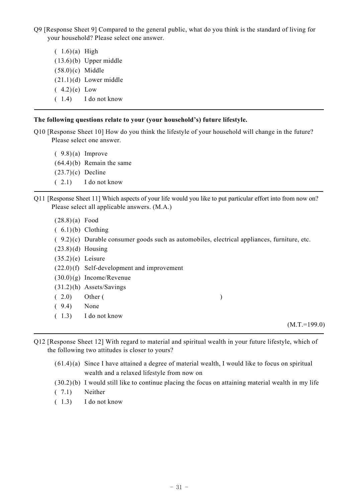Q9 [Response Sheet 9] Compared to the general public, what do you think is the standard of living for your household? Please select one answer.

 $(1.6)(a)$  High ( 13.6) (b) Upper middle  $(58.0)(c)$  Middle  $(21.1)(d)$  Lower middle  $(4.2)$  (e) Low ( 1.4) I do not know

### **The following questions relate to your (your household's) future lifestyle.**

Q10 [Response Sheet 10] How do you think the lifestyle of your household will change in the future? Please select one answer.

 $(9.8)(a)$  Improve  $(64.4)(b)$  Remain the same  $(23.7)(c)$  Decline ( 2.1) I do not know

- Q11 [Response Sheet 11] Which aspects of your life would you like to put particular effort into from now on? Please select all applicable answers. (M.A.)
	- $(28.8)(a)$  Food
	- $(6.1)(b)$  Clothing
	- $(9.2)(c)$  Durable consumer goods such as automobiles, electrical appliances, furniture, etc.
	- $(23.8)(d)$  Housing
	- $(35.2)(e)$  Leisure
	- ( 22.0) (f) Self-development and improvement
	- $(30.0)(g)$  Income/Revenue
	- ( 31.2) (h) Assets/Savings
	- ( 2.0) Other ( )
	- ( 9.4) None
	- ( 1.3) I do not know

 $(M.T.=199.0)$ 

- Q12 [Response Sheet 12] With regard to material and spiritual wealth in your future lifestyle, which of the following two attitudes is closer to yours?
	- $(61.4)$ (a) Since I have attained a degree of material wealth, I would like to focus on spiritual wealth and a relaxed lifestyle from now on
	- ( 30.2) (b) I would still like to continue placing the focus on attaining material wealth in my life
	- ( 7.1) Neither
	- ( 1.3) I do not know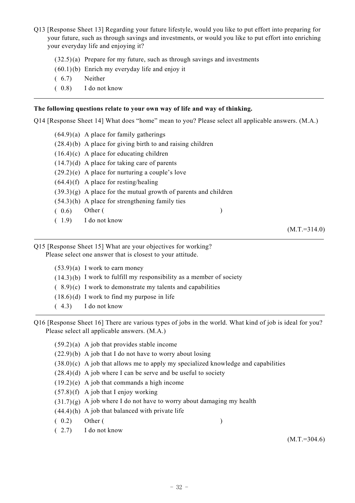- Q13 [Response Sheet 13] Regarding your future lifestyle, would you like to put effort into preparing for your future, such as through savings and investments, or would you like to put effort into enriching your everyday life and enjoying it?
	- $(32.5)(a)$  Prepare for my future, such as through savings and investments
	- $(60.1)(b)$  Enrich my everyday life and enjoy it
	- ( 6.7) Neither
	- ( 0.8) I do not know

### **The following questions relate to your own way of life and way of thinking.**

Q14 [Response Sheet 14] What does "home" mean to you? Please select all applicable answers. (M.A.)

 $(64.9)(a)$  A place for family gatherings  $(28.4)(b)$  A place for giving birth to and raising children  $(16.4)(c)$  A place for educating children  $(14.7)$  (d) A place for taking care of parents  $(29.2)$ (e) A place for nurturing a couple's love  $(64.4)$ (f) A place for resting/healing  $(39.3)(g)$  A place for the mutual growth of parents and children  $(54.3)$ (h) A place for strengthening family ties  $(0.6)$  Other ( ) ( 1.9) I do not know

 $(M.T.=314.0)$ 

Q15 [Response Sheet 15] What are your objectives for working? Please select one answer that is closest to your attitude.

| $(53.9)(a)$ I work to earn money                                       |
|------------------------------------------------------------------------|
| $(14.3)(b)$ I work to fulfill my responsibility as a member of society |
| $(8.9)(c)$ I work to demonstrate my talents and capabilities           |
| $(18.6)(d)$ I work to find my purpose in life                          |
| $(4.3)$ I do not know                                                  |

Q16 [Response Sheet 16] There are various types of jobs in the world. What kind of job is ideal for you? Please select all applicable answers. (M.A.)

|       | $(59.2)(a)$ A job that provides stable income                                       |
|-------|-------------------------------------------------------------------------------------|
|       | $(22.9)(b)$ A job that I do not have to worry about losing                          |
|       | $(38.0)(c)$ A job that allows me to apply my specialized knowledge and capabilities |
|       | $(28.4)(d)$ A job where I can be serve and be useful to society                     |
|       | $(19.2)(e)$ A job that commands a high income                                       |
|       | $(57.8)(f)$ A job that I enjoy working                                              |
|       | $(31.7)(g)$ A job where I do not have to worry about damaging my health             |
|       | $(44.4)(h)$ A job that balanced with private life                                   |
| (0.2) | Other (                                                                             |
|       | $(2.7)$ I do not know                                                               |

 $(M.T.=304.6)$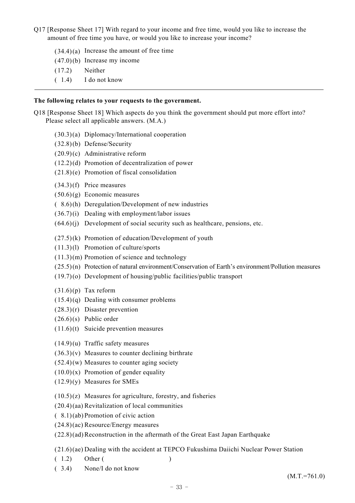- Q17 [Response Sheet 17] With regard to your income and free time, would you like to increase the amount of free time you have, or would you like to increase your income?
	- $(34.4)(a)$  Increase the amount of free time
	- ( 47.0) (b) Increase my income
	- ( 17.2) Neither
	- ( 1.4) I do not know

### **The following relates to your requests to the government.**

Q18 [Response Sheet 18] Which aspects do you think the government should put more effort into? Please select all applicable answers. (M.A.)

- ( 30.3) (a) Diplomacy/International cooperation
- ( 32.8) (b) Defense/Security
- ( 20.9) (c) Administrative reform
- ( 12.2) (d) Promotion of decentralization of power
- ( 21.8) (e) Promotion of fiscal consolidation
- ( 34.3) (f) Price measures
- $(50.6)(g)$  Economic measures
- ( 8.6) (h) Deregulation/Development of new industries
- $(36.7)(i)$  Dealing with employment/labor issues
- $(64.6)(i)$  Development of social security such as healthcare, pensions, etc.
- $(27.5)$ (k) Promotion of education/Development of youth
- ( 11.3) (l) Promotion of culture/sports
- $(11.3)(m)$  Promotion of science and technology
- ( 25.5) (n) Protection of natural environment/Conservation of Earth's environment/Pollution measures
- ( 19.7) (o) Development of housing/public facilities/public transport
- $(31.6)(p)$  Tax reform
- $(15.4)(q)$  Dealing with consumer problems
- $(28.3)(r)$  Disaster prevention
- $(26.6)(s)$  Public order
- $(11.6)(t)$  Suicide prevention measures
- $(14.9)(u)$  Traffic safety measures
- $(36.3)(v)$  Measures to counter declining birthrate
- $(52.4)$ (w) Measures to counter aging society
- $(10.0)(x)$  Promotion of gender equality
- $(12.9)(y)$  Measures for SMEs
- $(10.5)(z)$  Measures for agriculture, forestry, and fisheries
- ( 20.4) (aa) Revitalization of local communities
- ( 8.1) (ab) Promotion of civic action
- ( 24.8) (ac) Resource/Energy measures
- ( 22.8) (ad) Reconstruction in the aftermath of the Great East Japan Earthquake

( 21.6) (ae) Dealing with the accident at TEPCO Fukushima Daiichi Nuclear Power Station

- ( 1.2) Other ( )
- ( 3.4) None/I do not know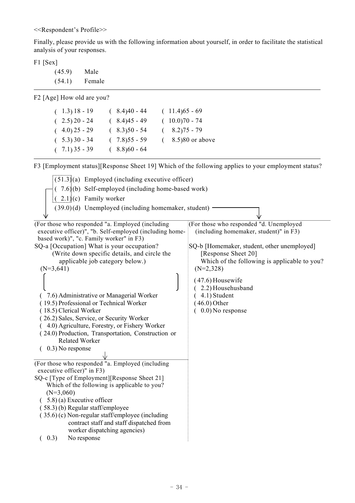<<Respondent's Profile>>

Finally, please provide us with the following information about yourself, in order to facilitate the statistical analysis of your responses.

F1 [Sex]

( 45.9) Male ( 54.1) Female

F2 [Age] How old are you?

| $(1.3)$ 18 - 19 | $(8.4)40 - 44$  | $(11.4)65 - 69$    |
|-----------------|-----------------|--------------------|
| $(2.5) 20 - 24$ | $(8.4)45 - 49$  | $(10.0)70 - 74$    |
| $(4.0)$ 25 - 29 | $(8.3)50 - 54$  | $(8.2)75 - 79$     |
| $(5.3)30 - 34$  | $(.7.8)55 - 59$ | $(8.5)80$ or above |
| $(7.1)35 - 39$  | $(8.8)60 - 64$  |                    |

F3 [Employment status][Response Sheet 19] Which of the following applies to your employment status?

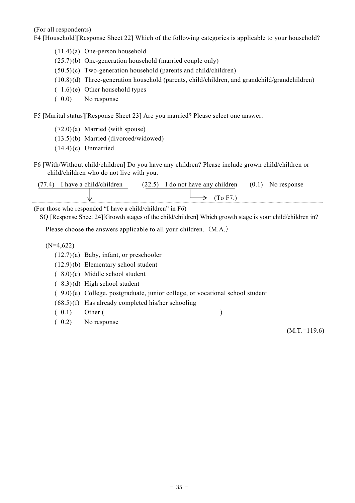(For all respondents)

F4 [Household][Response Sheet 22] Which of the following categories is applicable to your household?

- ( 11.4) (a) One-person household
- ( 25.7) (b) One-generation household (married couple only)
- $(50.5)(c)$  Two-generation household (parents and child/children)
- ( 10.8) (d) Three-generation household (parents, child/children, and grandchild/grandchildren)
- $(1.6)$  (e) Other household types
- ( 0.0) No response

F5 [Marital status][Response Sheet 23] Are you married? Please select one answer.

- $(72.0)(a)$  Married (with spouse)
- ( 13.5) (b) Married (divorced/widowed)
- ( 14.4) (c) Unmarried
- F6 [With/Without child/children] Do you have any children? Please include grown child/children or child/children who do not live with you.

| r have a child/children | (22.5)<br>I do not have any children<br>ن ، ک ک | (0.1)<br>No response |
|-------------------------|-------------------------------------------------|----------------------|
| w                       | $\rm{T}$ G F $\rm{T}$<br>                       |                      |

(For those who responded "I have a child/children" in F6)

SQ [Response Sheet 24][Growth stages of the child/children] Which growth stage is your child/children in?

Please choose the answers applicable to all your children. (M.A.)

(N=4,622)

- ( 12.7) (a) Baby, infant, or preschooler
- ( 12.9) (b) Elementary school student
- ( 8.0) (c) Middle school student
- ( 8.3) (d) High school student
- ( 9.0) (e) College, postgraduate, junior college, or vocational school student
- $(68.5)$ (f) Has already completed his/her schooling
- ( 0.1) Other ( )
- ( 0.2) No response

 $(M.T.=119.6)$